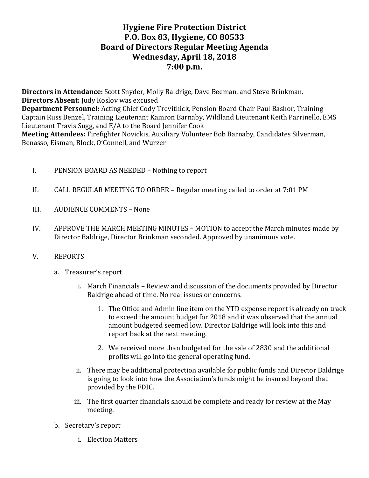# **Hygiene Fire Protection District P.O. Box 83, Hygiene, CO 80533 Board of Directors Regular Meeting Agenda Wednesday, April 18, 2018 7:00 p.m.**

**Directors in Attendance:** Scott Snyder, Molly Baldrige, Dave Beeman, and Steve Brinkman. **Directors Absent:** Judy Koslov was excused **Department Personnel:** Acting Chief Cody Trevithick, Pension Board Chair Paul Bashor, Training Captain Russ Benzel, Training Lieutenant Kamron Barnaby, Wildland Lieutenant Keith Parrinello, EMS Lieutenant Travis Sugg, and E/A to the Board Jennifer Cook **Meeting Attendees:** Firefighter Novickis, Auxiliary Volunteer Bob Barnaby, Candidates Silverman, Benasso, Eisman, Block, O'Connell, and Wurzer

- I. PENSION BOARD AS NEEDED Nothing to report
- II. CALL REGULAR MEETING TO ORDER Regular meeting called to order at 7:01 PM
- III. AUDIENCE COMMENTS None
- IV. APPROVE THE MARCH MEETING MINUTES MOTION to accept the March minutes made by Director Baldrige, Director Brinkman seconded. Approved by unanimous vote.
- V. REPORTS
	- a. Treasurer's report
		- i. March Financials Review and discussion of the documents provided by Director Baldrige ahead of time. No real issues or concerns.
			- 1. The Office and Admin line item on the YTD expense report is already on track to exceed the amount budget for 2018 and it was observed that the annual amount budgeted seemed low. Director Baldrige will look into this and report back at the next meeting.
			- 2. We received more than budgeted for the sale of 2830 and the additional profits will go into the general operating fund.
		- ii. There may be additional protection available for public funds and Director Baldrige is going to look into how the Association's funds might be insured beyond that provided by the FDIC.
		- iii. The first quarter financials should be complete and ready for review at the May meeting.
	- b. Secretary's report
		- i. Election Matters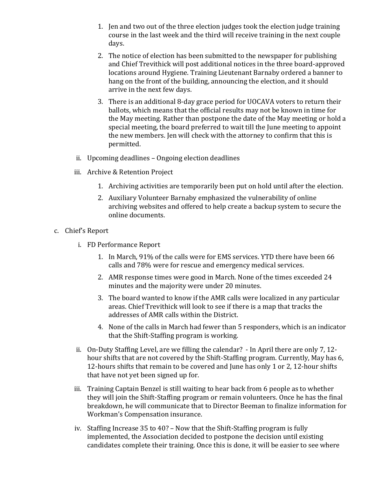- 1. Jen and two out of the three election judges took the election judge training course in the last week and the third will receive training in the next couple days.
- 2. The notice of election has been submitted to the newspaper for publishing and Chief Trevithick will post additional notices in the three board-approved locations around Hygiene. Training Lieutenant Barnaby ordered a banner to hang on the front of the building, announcing the election, and it should arrive in the next few days.
- 3. There is an additional 8-day grace period for UOCAVA voters to return their ballots, which means that the official results may not be known in time for the May meeting. Rather than postpone the date of the May meeting or hold a special meeting, the board preferred to wait till the June meeting to appoint the new members. Jen will check with the attorney to confirm that this is permitted.
- ii. Upcoming deadlines Ongoing election deadlines
- iii. Archive & Retention Project
	- 1. Archiving activities are temporarily been put on hold until after the election.
	- 2. Auxiliary Volunteer Barnaby emphasized the vulnerability of online archiving websites and offered to help create a backup system to secure the online documents.
- c. Chief's Report
	- i. FD Performance Report
		- 1. In March, 91% of the calls were for EMS services. YTD there have been 66 calls and 78% were for rescue and emergency medical services.
		- 2. AMR response times were good in March. None of the times exceeded 24 minutes and the majority were under 20 minutes.
		- 3. The board wanted to know if the AMR calls were localized in any particular areas. Chief Trevithick will look to see if there is a map that tracks the addresses of AMR calls within the District.
		- 4. None of the calls in March had fewer than 5 responders, which is an indicator that the Shift-Staffing program is working.
	- ii. On-Duty Staffing Level, are we filling the calendar?  $-$  In April there are only 7, 12hour shifts that are not covered by the Shift-Staffing program. Currently, May has 6, 12-hours shifts that remain to be covered and June has only 1 or 2, 12-hour shifts that have not yet been signed up for.
	- iii. Training Captain Benzel is still waiting to hear back from 6 people as to whether they will join the Shift-Staffing program or remain volunteers. Once he has the final breakdown, he will communicate that to Director Beeman to finalize information for Workman's Compensation insurance.
	- iv. Staffing Increase  $35$  to  $40$ ? Now that the Shift-Staffing program is fully implemented, the Association decided to postpone the decision until existing candidates complete their training. Once this is done, it will be easier to see where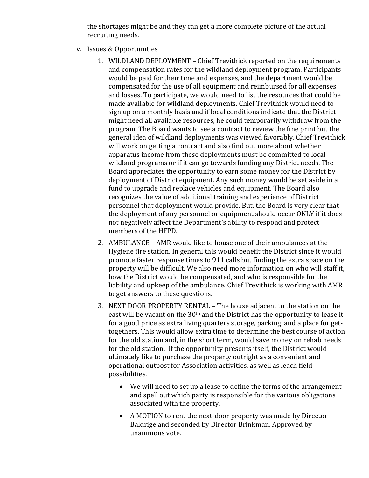the shortages might be and they can get a more complete picture of the actual recruiting needs.

- v. Issues & Opportunities
	- 1. WILDLAND DEPLOYMENT Chief Trevithick reported on the requirements and compensation rates for the wildland deployment program. Participants would be paid for their time and expenses, and the department would be compensated for the use of all equipment and reimbursed for all expenses and losses. To participate, we would need to list the resources that could be made available for wildland deployments. Chief Trevithick would need to sign up on a monthly basis and if local conditions indicate that the District might need all available resources, he could temporarily withdraw from the program. The Board wants to see a contract to review the fine print but the general idea of wildland deployments was viewed favorably. Chief Trevithick will work on getting a contract and also find out more about whether apparatus income from these deployments must be committed to local wildland programs or if it can go towards funding any District needs. The Board appreciates the opportunity to earn some money for the District by deployment of District equipment. Any such money would be set aside in a fund to upgrade and replace vehicles and equipment. The Board also recognizes the value of additional training and experience of District personnel that deployment would provide. But, the Board is very clear that the deployment of any personnel or equipment should occur ONLY if it does not negatively affect the Department's ability to respond and protect members of the HFPD.
	- 2. AMBULANCE AMR would like to house one of their ambulances at the Hygiene fire station. In general this would benefit the District since it would promote faster response times to 911 calls but finding the extra space on the property will be difficult. We also need more information on who will staff it, how the District would be compensated, and who is responsible for the liability and upkeep of the ambulance. Chief Trevithick is working with AMR to get answers to these questions.
	- 3. NEXT DOOR PROPERTY RENTAL The house adjacent to the station on the east will be vacant on the  $30<sup>th</sup>$  and the District has the opportunity to lease it for a good price as extra living quarters storage, parking, and a place for gettogethers. This would allow extra time to determine the best course of action for the old station and, in the short term, would save money on rehab needs for the old station. If the opportunity presents itself, the District would ultimately like to purchase the property outright as a convenient and operational outpost for Association activities, as well as leach field possibilities.
		- We will need to set up a lease to define the terms of the arrangement and spell out which party is responsible for the various obligations associated with the property.
		- A MOTION to rent the next-door property was made by Director Baldrige and seconded by Director Brinkman. Approved by unanimous vote.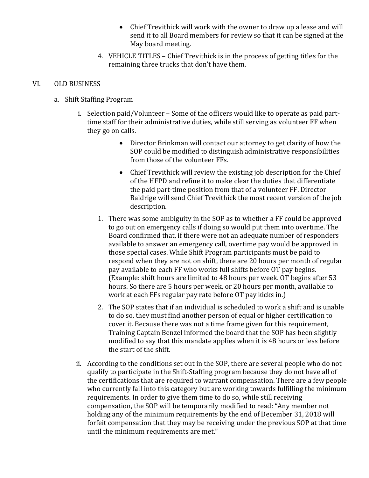- Chief Trevithick will work with the owner to draw up a lease and will send it to all Board members for review so that it can be signed at the May board meeting.
- 4. VEHICLE TITLES Chief Trevithick is in the process of getting titles for the remaining three trucks that don't have them.

#### VI. OLD BUSINESS

- a. Shift Staffing Program
	- i. Selection paid/Volunteer Some of the officers would like to operate as paid parttime staff for their administrative duties, while still serving as volunteer FF when they go on calls.
		- Director Brinkman will contact our attorney to get clarity of how the SOP could be modified to distinguish administrative responsibilities from those of the volunteer FFs.
		- Chief Trevithick will review the existing job description for the Chief of the HFPD and refine it to make clear the duties that differentiate the paid part-time position from that of a volunteer FF. Director Baldrige will send Chief Trevithick the most recent version of the job description.
		- 1. There was some ambiguity in the SOP as to whether a FF could be approved to go out on emergency calls if doing so would put them into overtime. The Board confirmed that, if there were not an adequate number of responders available to answer an emergency call, overtime pay would be approved in those special cases. While Shift Program participants must be paid to respond when they are not on shift, there are 20 hours per month of regular pay available to each FF who works full shifts before OT pay begins. (Example: shift hours are limited to 48 hours per week. OT begins after 53 hours. So there are 5 hours per week, or 20 hours per month, available to work at each FFs regular pay rate before OT pay kicks in.)
		- 2. The SOP states that if an individual is scheduled to work a shift and is unable to do so, they must find another person of equal or higher certification to cover it. Because there was not a time frame given for this requirement, Training Captain Benzel informed the board that the SOP has been slightly modified to say that this mandate applies when it is 48 hours or less before the start of the shift.
	- ii. According to the conditions set out in the SOP, there are several people who do not qualify to participate in the Shift-Staffing program because they do not have all of the certifications that are required to warrant compensation. There are a few people who currently fall into this category but are working towards fulfilling the minimum requirements. In order to give them time to do so, while still receiving compensation, the SOP will be temporarily modified to read: "Any member not holding any of the minimum requirements by the end of December 31, 2018 will forfeit compensation that they may be receiving under the previous SOP at that time until the minimum requirements are met."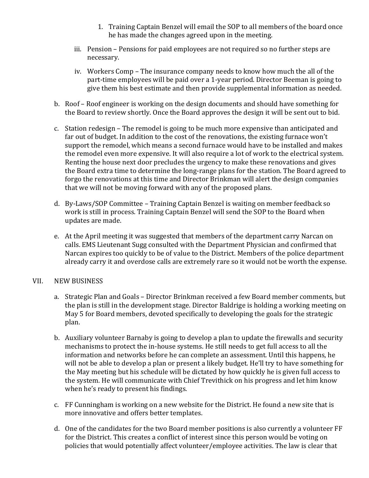- 1. Training Captain Benzel will email the SOP to all members of the board once he has made the changes agreed upon in the meeting.
- iii. Pension Pensions for paid employees are not required so no further steps are necessary.
- iv. Workers Comp The insurance company needs to know how much the all of the part-time employees will be paid over a 1-year period. Director Beeman is going to give them his best estimate and then provide supplemental information as needed.
- b. Roof Roof engineer is working on the design documents and should have something for the Board to review shortly. Once the Board approves the design it will be sent out to bid.
- c. Station redesign The remodel is going to be much more expensive than anticipated and far out of budget. In addition to the cost of the renovations, the existing furnace won't support the remodel, which means a second furnace would have to be installed and makes the remodel even more expensive. It will also require a lot of work to the electrical system. Renting the house next door precludes the urgency to make these renovations and gives the Board extra time to determine the long-range plans for the station. The Board agreed to forgo the renovations at this time and Director Brinkman will alert the design companies that we will not be moving forward with any of the proposed plans.
- d. By-Laws/SOP Committee Training Captain Benzel is waiting on member feedback so work is still in process. Training Captain Benzel will send the SOP to the Board when updates are made.
- e. At the April meeting it was suggested that members of the department carry Narcan on calls. EMS Lieutenant Sugg consulted with the Department Physician and confirmed that Narcan expires too quickly to be of value to the District. Members of the police department already carry it and overdose calls are extremely rare so it would not be worth the expense.

### VII. NEW BUSINESS

- a. Strategic Plan and Goals Director Brinkman received a few Board member comments, but the plan is still in the development stage. Director Baldrige is holding a working meeting on May 5 for Board members, devoted specifically to developing the goals for the strategic plan.
- b. Auxiliary volunteer Barnaby is going to develop a plan to update the firewalls and security mechanisms to protect the in-house systems. He still needs to get full access to all the information and networks before he can complete an assessment. Until this happens, he will not be able to develop a plan or present a likely budget. He'll try to have something for the May meeting but his schedule will be dictated by how quickly he is given full access to the system. He will communicate with Chief Trevithick on his progress and let him know when he's ready to present his findings.
- c. FF Cunningham is working on a new website for the District. He found a new site that is more innovative and offers better templates.
- d. One of the candidates for the two Board member positions is also currently a volunteer FF for the District. This creates a conflict of interest since this person would be voting on policies that would potentially affect volunteer/employee activities. The law is clear that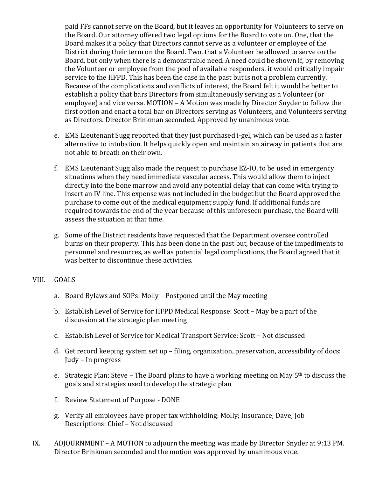paid FFs cannot serve on the Board, but it leaves an opportunity for Volunteers to serve on the Board. Our attorney offered two legal options for the Board to vote on. One, that the Board makes it a policy that Directors cannot serve as a volunteer or employee of the District during their term on the Board. Two, that a Volunteer be allowed to serve on the Board, but only when there is a demonstrable need. A need could be shown if, by removing the Volunteer or employee from the pool of available responders, it would critically impair service to the HFPD. This has been the case in the past but is not a problem currently. Because of the complications and conflicts of interest, the Board felt it would be better to establish a policy that bars Directors from simultaneously serving as a Volunteer (or employee) and vice versa. MOTION – A Motion was made by Director Snyder to follow the first option and enact a total bar on Directors serving as Volunteers, and Volunteers serving as Directors. Director Brinkman seconded. Approved by unanimous vote.

- e. EMS Lieutenant Sugg reported that they just purchased i-gel, which can be used as a faster alternative to intubation. It helps quickly open and maintain an airway in patients that are not able to breath on their own.
- f. EMS Lieutenant Sugg also made the request to purchase EZ-IO, to be used in emergency situations when they need immediate vascular access. This would allow them to inject directly into the bone marrow and avoid any potential delay that can come with trying to insert an IV line. This expense was not included in the budget but the Board approved the purchase to come out of the medical equipment supply fund. If additional funds are required towards the end of the year because of this unforeseen purchase, the Board will assess the situation at that time.
- g. Some of the District residents have requested that the Department oversee controlled burns on their property. This has been done in the past but, because of the impediments to personnel and resources, as well as potential legal complications, the Board agreed that it was better to discontinue these activities.

### VIII. GOALS

- a. Board Bylaws and SOPs: Molly Postponed until the May meeting
- b. Establish Level of Service for HFPD Medical Response: Scott May be a part of the discussion at the strategic plan meeting
- c. Establish Level of Service for Medical Transport Service: Scott Not discussed
- d. Get record keeping system set up filing, organization, preservation, accessibility of docs: Judy – In progress
- e. Strategic Plan: Steve The Board plans to have a working meeting on May  $5<sup>th</sup>$  to discuss the goals and strategies used to develop the strategic plan
- f. Review Statement of Purpose DONE
- g. Verify all employees have proper tax withholding: Molly; Insurance; Dave; Job Descriptions: Chief - Not discussed
- IX. ADJOURNMENT A MOTION to adjourn the meeting was made by Director Snyder at 9:13 PM. Director Brinkman seconded and the motion was approved by unanimous vote.